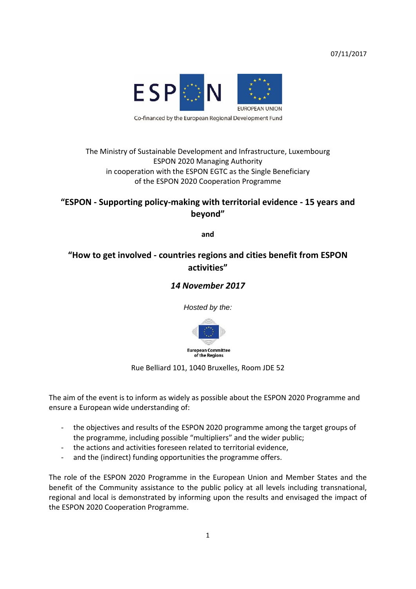07/11/2017



### The Ministry of Sustainable Development and Infrastructure, Luxembourg ESPON 2020 Managing Authority in cooperation with the ESPON EGTC as the Single Beneficiary of the ESPON 2020 Cooperation Programme

### **"ESPON ‐ Supporting policy‐making with territorial evidence ‐ 15 years and beyond"**

**and** 

## **"How to get involved ‐ countries regions and cities benefit from ESPON activities"**

### *14 November 2017*

*Hosted by the:* 



Rue Belliard 101, 1040 Bruxelles, Room JDE 52

The aim of the event is to inform as widely as possible about the ESPON 2020 Programme and ensure a European wide understanding of:

- ‐ the objectives and results of the ESPON 2020 programme among the target groups of the programme, including possible "multipliers" and the wider public;
- ‐ the actions and activities foreseen related to territorial evidence,
- ‐ and the (indirect) funding opportunities the programme offers.

The role of the ESPON 2020 Programme in the European Union and Member States and the benefit of the Community assistance to the public policy at all levels including transnational, regional and local is demonstrated by informing upon the results and envisaged the impact of the ESPON 2020 Cooperation Programme.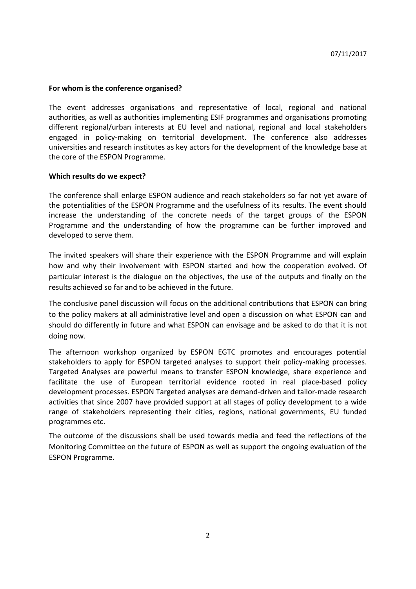#### **For whom is the conference organised?**

The event addresses organisations and representative of local, regional and national authorities, as well as authorities implementing ESIF programmes and organisations promoting different regional/urban interests at EU level and national, regional and local stakeholders engaged in policy-making on territorial development. The conference also addresses universities and research institutes as key actors for the development of the knowledge base at the core of the ESPON Programme.

#### **Which results do we expect?**

The conference shall enlarge ESPON audience and reach stakeholders so far not yet aware of the potentialities of the ESPON Programme and the usefulness of its results. The event should increase the understanding of the concrete needs of the target groups of the ESPON Programme and the understanding of how the programme can be further improved and developed to serve them.

The invited speakers will share their experience with the ESPON Programme and will explain how and why their involvement with ESPON started and how the cooperation evolved. Of particular interest is the dialogue on the objectives, the use of the outputs and finally on the results achieved so far and to be achieved in the future.

The conclusive panel discussion will focus on the additional contributions that ESPON can bring to the policy makers at all administrative level and open a discussion on what ESPON can and should do differently in future and what ESPON can envisage and be asked to do that it is not doing now.

The afternoon workshop organized by ESPON EGTC promotes and encourages potential stakeholders to apply for ESPON targeted analyses to support their policy-making processes. Targeted Analyses are powerful means to transfer ESPON knowledge, share experience and facilitate the use of European territorial evidence rooted in real place‐based policy development processes. ESPON Targeted analyses are demand‐driven and tailor‐made research activities that since 2007 have provided support at all stages of policy development to a wide range of stakeholders representing their cities, regions, national governments, EU funded programmes etc.

The outcome of the discussions shall be used towards media and feed the reflections of the Monitoring Committee on the future of ESPON as well as support the ongoing evaluation of the ESPON Programme.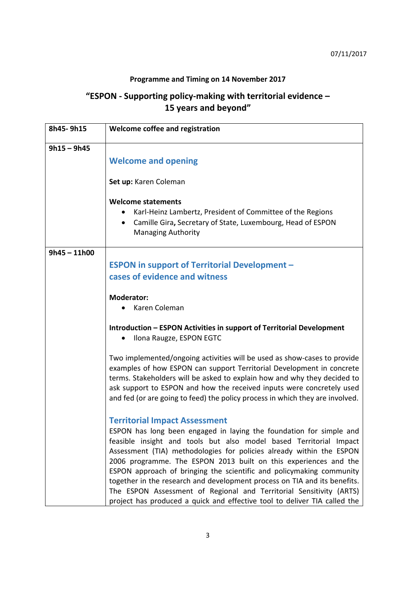### **Programme and Timing on 14 November 2017**

# **"ESPON ‐ Supporting policy‐making with territorial evidence – 15 years and beyond"**

| 8h45-9h15      | Welcome coffee and registration                                                                                                                                                                                                                                                                                                                                                                                                                                                                                                                                                                                                        |
|----------------|----------------------------------------------------------------------------------------------------------------------------------------------------------------------------------------------------------------------------------------------------------------------------------------------------------------------------------------------------------------------------------------------------------------------------------------------------------------------------------------------------------------------------------------------------------------------------------------------------------------------------------------|
| $9h15 - 9h45$  | <b>Welcome and opening</b>                                                                                                                                                                                                                                                                                                                                                                                                                                                                                                                                                                                                             |
|                | Set up: Karen Coleman                                                                                                                                                                                                                                                                                                                                                                                                                                                                                                                                                                                                                  |
|                | <b>Welcome statements</b><br>Karl-Heinz Lambertz, President of Committee of the Regions<br>Camille Gira, Secretary of State, Luxembourg, Head of ESPON<br>$\bullet$<br><b>Managing Authority</b>                                                                                                                                                                                                                                                                                                                                                                                                                                       |
| $9h45 - 11h00$ |                                                                                                                                                                                                                                                                                                                                                                                                                                                                                                                                                                                                                                        |
|                | <b>ESPON in support of Territorial Development -</b><br>cases of evidence and witness                                                                                                                                                                                                                                                                                                                                                                                                                                                                                                                                                  |
|                | <b>Moderator:</b><br>Karen Coleman                                                                                                                                                                                                                                                                                                                                                                                                                                                                                                                                                                                                     |
|                | Introduction - ESPON Activities in support of Territorial Development<br>Ilona Raugze, ESPON EGTC                                                                                                                                                                                                                                                                                                                                                                                                                                                                                                                                      |
|                | Two implemented/ongoing activities will be used as show-cases to provide<br>examples of how ESPON can support Territorial Development in concrete<br>terms. Stakeholders will be asked to explain how and why they decided to<br>ask support to ESPON and how the received inputs were concretely used<br>and fed (or are going to feed) the policy process in which they are involved.                                                                                                                                                                                                                                                |
|                | <b>Territorial Impact Assessment</b><br>ESPON has long been engaged in laying the foundation for simple and<br>feasible insight and tools but also model based Territorial Impact<br>Assessment (TIA) methodologies for policies already within the ESPON<br>2006 programme. The ESPON 2013 built on this experiences and the<br>ESPON approach of bringing the scientific and policymaking community<br>together in the research and development process on TIA and its benefits.<br>The ESPON Assessment of Regional and Territorial Sensitivity (ARTS)<br>project has produced a quick and effective tool to deliver TIA called the |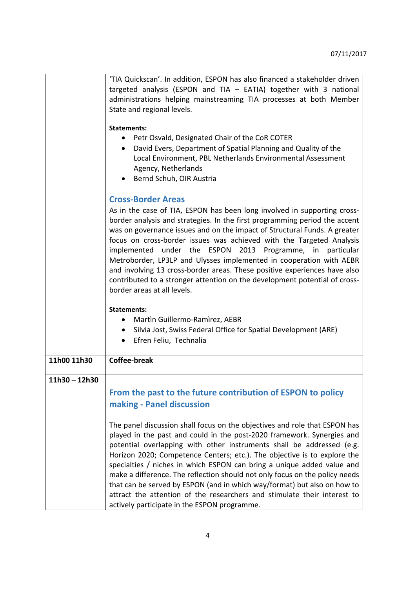|                 | 'TIA Quickscan'. In addition, ESPON has also financed a stakeholder driven                                                                             |
|-----------------|--------------------------------------------------------------------------------------------------------------------------------------------------------|
|                 | targeted analysis (ESPON and TIA $-$ EATIA) together with 3 national                                                                                   |
|                 | administrations helping mainstreaming TIA processes at both Member                                                                                     |
|                 | State and regional levels.                                                                                                                             |
|                 |                                                                                                                                                        |
|                 | <b>Statements:</b>                                                                                                                                     |
|                 | Petr Osvald, Designated Chair of the CoR COTER                                                                                                         |
|                 | David Evers, Department of Spatial Planning and Quality of the<br>$\bullet$                                                                            |
|                 | Local Environment, PBL Netherlands Environmental Assessment                                                                                            |
|                 | Agency, Netherlands                                                                                                                                    |
|                 | Bernd Schuh, OIR Austria                                                                                                                               |
|                 | <b>Cross-Border Areas</b>                                                                                                                              |
|                 |                                                                                                                                                        |
|                 | As in the case of TIA, ESPON has been long involved in supporting cross-<br>border analysis and strategies. In the first programming period the accent |
|                 | was on governance issues and on the impact of Structural Funds. A greater                                                                              |
|                 | focus on cross-border issues was achieved with the Targeted Analysis                                                                                   |
|                 | implemented under the ESPON 2013 Programme, in particular                                                                                              |
|                 | Metroborder, LP3LP and Ulysses implemented in cooperation with AEBR                                                                                    |
|                 | and involving 13 cross-border areas. These positive experiences have also                                                                              |
|                 | contributed to a stronger attention on the development potential of cross-                                                                             |
|                 | border areas at all levels.                                                                                                                            |
|                 |                                                                                                                                                        |
|                 | <b>Statements:</b>                                                                                                                                     |
|                 | Martin Guillermo-Ramirez, AEBR<br>$\bullet$                                                                                                            |
|                 | Silvia Jost, Swiss Federal Office for Spatial Development (ARE)<br>$\bullet$                                                                           |
|                 | Efren Feliu, Technalia<br>$\bullet$                                                                                                                    |
|                 |                                                                                                                                                        |
| 11h00 11h30     | <b>Coffee-break</b>                                                                                                                                    |
|                 |                                                                                                                                                        |
| $11h30 - 12h30$ |                                                                                                                                                        |
|                 | From the past to the future contribution of ESPON to policy                                                                                            |
|                 | making - Panel discussion                                                                                                                              |
|                 |                                                                                                                                                        |
|                 | The panel discussion shall focus on the objectives and role that ESPON has                                                                             |
|                 | played in the past and could in the post-2020 framework. Synergies and                                                                                 |
|                 | potential overlapping with other instruments shall be addressed (e.g.                                                                                  |
|                 | Horizon 2020; Competence Centers; etc.). The objective is to explore the                                                                               |
|                 | specialties / niches in which ESPON can bring a unique added value and                                                                                 |
|                 | make a difference. The reflection should not only focus on the policy needs                                                                            |
|                 | that can be served by ESPON (and in which way/format) but also on how to                                                                               |
|                 | attract the attention of the researchers and stimulate their interest to                                                                               |
|                 | actively participate in the ESPON programme.                                                                                                           |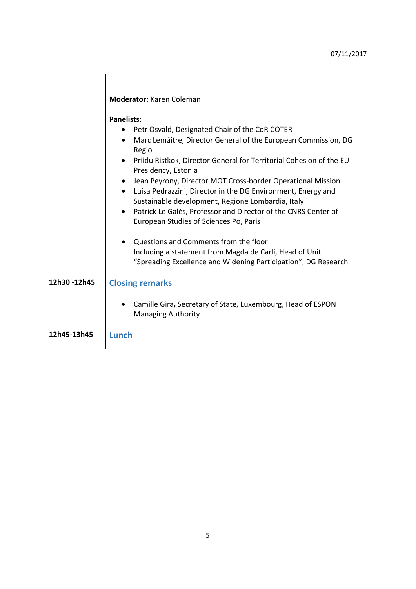|             | <b>Moderator: Karen Coleman</b><br><b>Panelists:</b><br>Petr Osvald, Designated Chair of the CoR COTER<br>Marc Lemâitre, Director General of the European Commission, DG<br>$\bullet$<br>Regio<br>Priidu Ristkok, Director General for Territorial Cohesion of the EU<br>Presidency, Estonia<br>Jean Peyrony, Director MOT Cross-border Operational Mission<br>Luisa Pedrazzini, Director in the DG Environment, Energy and<br>$\bullet$<br>Sustainable development, Regione Lombardia, Italy<br>Patrick Le Galès, Professor and Director of the CNRS Center of<br>European Studies of Sciences Po, Paris<br>Questions and Comments from the floor<br>Including a statement from Magda de Carli, Head of Unit<br>"Spreading Excellence and Widening Participation", DG Research |
|-------------|---------------------------------------------------------------------------------------------------------------------------------------------------------------------------------------------------------------------------------------------------------------------------------------------------------------------------------------------------------------------------------------------------------------------------------------------------------------------------------------------------------------------------------------------------------------------------------------------------------------------------------------------------------------------------------------------------------------------------------------------------------------------------------|
| 12h30-12h45 |                                                                                                                                                                                                                                                                                                                                                                                                                                                                                                                                                                                                                                                                                                                                                                                 |
|             | <b>Closing remarks</b><br>Camille Gira, Secretary of State, Luxembourg, Head of ESPON<br><b>Managing Authority</b>                                                                                                                                                                                                                                                                                                                                                                                                                                                                                                                                                                                                                                                              |
| 12h45-13h45 | Lunch                                                                                                                                                                                                                                                                                                                                                                                                                                                                                                                                                                                                                                                                                                                                                                           |